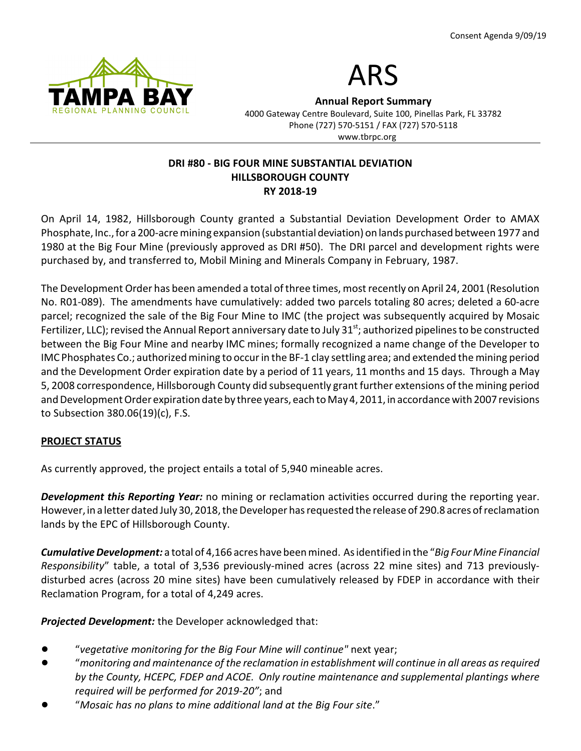



Annual Report Summary

4000 Gateway Centre Boulevard, Suite 100, Pinellas Park, FL 33782 Phone (727) 570-5151 / FAX (727) 570-5118 www.tbrpc.org

### DRI #80 - BIG FOUR MINE SUBSTANTIAL DEVIATION HILLSBOROUGH COUNTY RY 2018-19

On April 14, 1982, Hillsborough County granted a Substantial Deviation Development Order to AMAX Phosphate, Inc., for a 200-acre mining expansion (substantial deviation) on lands purchased between 1977 and 1980 at the Big Four Mine (previously approved as DRI #50). The DRI parcel and development rights were purchased by, and transferred to, Mobil Mining and Minerals Company in February, 1987.

The Development Order has been amended a total of three times, most recently on April 24, 2001 (Resolution No. R01-089). The amendments have cumulatively: added two parcels totaling 80 acres; deleted a 60-acre parcel; recognized the sale of the Big Four Mine to IMC (the project was subsequently acquired by Mosaic Fertilizer, LLC); revised the Annual Report anniversary date to July 31 $st$ ; authorized pipelines to be constructed between the Big Four Mine and nearby IMC mines; formally recognized a name change of the Developer to IMC Phosphates Co.; authorized mining to occur in the BF-1 clay settling area; and extended the mining period and the Development Order expiration date by a period of 11 years, 11 months and 15 days. Through a May 5, 2008 correspondence, Hillsborough County did subsequently grant further extensions of the mining period and Development Order expiration date by three years, each to May 4, 2011, in accordance with 2007 revisions to Subsection 380.06(19)(c), F.S.

# PROJECT STATUS

As currently approved, the project entails a total of 5,940 mineable acres.

**Development this Reporting Year:** no mining or reclamation activities occurred during the reporting year. However, in a letter dated July 30, 2018, the Developer has requested the release of 290.8 acres of reclamation lands by the EPC of Hillsborough County.

Cumulative Development: a total of 4,166 acres have been mined. As identified in the "Big Four Mine Financial Responsibility" table, a total of 3,536 previously-mined acres (across 22 mine sites) and 713 previouslydisturbed acres (across 20 mine sites) have been cumulatively released by FDEP in accordance with their Reclamation Program, for a total of 4,249 acres.

**Projected Development:** the Developer acknowledged that:

- "vegetative monitoring for the Big Four Mine will continue" next year;
- ! "monitoring and maintenance of the reclamation in establishment will continue in all areas as required by the County, HCEPC, FDEP and ACOE. Only routine maintenance and supplemental plantings where required will be performed for 2019-20"; and
- "Mosaic has no plans to mine additional land at the Big Four site."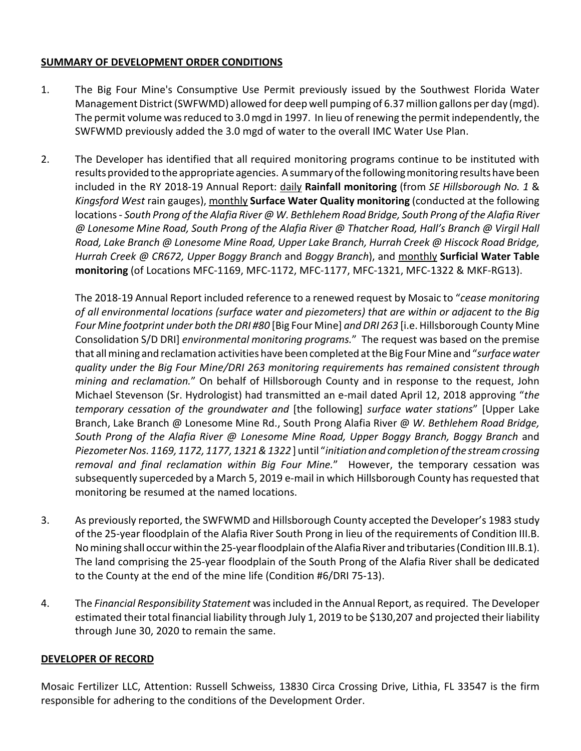### SUMMARY OF DEVELOPMENT ORDER CONDITIONS

- 1. The Big Four Mine's Consumptive Use Permit previously issued by the Southwest Florida Water Management District (SWFWMD) allowed for deep well pumping of 6.37 million gallons per day (mgd). The permit volume was reduced to 3.0 mgd in 1997. In lieu of renewing the permit independently, the SWFWMD previously added the 3.0 mgd of water to the overall IMC Water Use Plan.
- 2. The Developer has identified that all required monitoring programs continue to be instituted with results provided to the appropriate agencies. A summary of the following monitoring results have been included in the RY 2018-19 Annual Report: daily Rainfall monitoring (from SE Hillsborough No. 1 & Kingsford West rain gauges), monthly Surface Water Quality monitoring (conducted at the following locations - South Prong of the Alafia River @ W. Bethlehem Road Bridge, South Prong of the Alafia River @ Lonesome Mine Road, South Prong of the Alafia River @ Thatcher Road, Hall's Branch @ Virgil Hall Road, Lake Branch @ Lonesome Mine Road, Upper Lake Branch, Hurrah Creek @ Hiscock Road Bridge, Hurrah Creek @ CR672, Upper Boggy Branch and Boggy Branch), and monthly Surficial Water Table monitoring (of Locations MFC-1169, MFC-1172, MFC-1177, MFC-1321, MFC-1322 & MKF-RG13).

The 2018-19 Annual Report included reference to a renewed request by Mosaic to "cease monitoring of all environmental locations (surface water and piezometers) that are within or adjacent to the Big Four Mine footprint under both the DRI #80 [Big Four Mine] and DRI 263 [i.e. Hillsborough County Mine Consolidation S/D DRI] environmental monitoring programs." The request was based on the premise that all mining and reclamation activities have been completed at the Big Four Mine and "surface water quality under the Big Four Mine/DRI 263 monitoring requirements has remained consistent through mining and reclamation." On behalf of Hillsborough County and in response to the request, John Michael Stevenson (Sr. Hydrologist) had transmitted an e-mail dated April 12, 2018 approving "the temporary cessation of the groundwater and [the following] surface water stations" [Upper Lake Branch, Lake Branch @ Lonesome Mine Rd., South Prong Alafia River @ W. Bethlehem Road Bridge, South Prong of the Alafia River @ Lonesome Mine Road, Upper Boggy Branch, Boggy Branch and Piezometer Nos. 1169, 1172, 1177, 1321 & 1322 ] until "initiation and completion of the stream crossing removal and final reclamation within Big Four Mine." However, the temporary cessation was subsequently superceded by a March 5, 2019 e-mail in which Hillsborough County has requested that monitoring be resumed at the named locations.

- 3. As previously reported, the SWFWMD and Hillsborough County accepted the Developer's 1983 study of the 25-year floodplain of the Alafia River South Prong in lieu of the requirements of Condition III.B. No mining shall occur within the 25-year floodplain of the Alafia River and tributaries (Condition III.B.1). The land comprising the 25-year floodplain of the South Prong of the Alafia River shall be dedicated to the County at the end of the mine life (Condition #6/DRI 75-13).
- 4. The Financial Responsibility Statement was included in the Annual Report, as required. The Developer estimated their total financial liability through July 1, 2019 to be \$130,207 and projected their liability through June 30, 2020 to remain the same.

### DEVELOPER OF RECORD

Mosaic Fertilizer LLC, Attention: Russell Schweiss, 13830 Circa Crossing Drive, Lithia, FL 33547 is the firm responsible for adhering to the conditions of the Development Order.